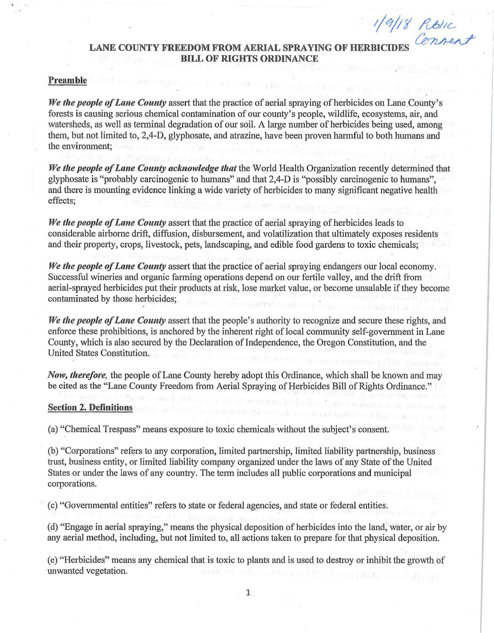# **LANE COUNTY FREEDOM FROM AERIAL BILL OF RIGHTS ORDINANCE**  1/9/18 Public<br>SPRAYING OF HERBICIDES CONSENT

1/9/18 Public

#### **Preamble**

*We the people of Lane County* assert that the practice of aerial spraying of herbicides on Lane County's forests is causing serious chemical contamination of our county's people, wildlife, ecosystems, air, and watersheds, as well as terminal degradation of our soil. A large number of herbicides being used, among them, but not limited to, 2,4-D, glyphosate, and atrazine, have been proven harmful to both humans and the environment:

*We the people of Lane County acknowledge that* the World Health Organization recently determined that glyphosate is "probably carcinogenic to humans" and that 2,4-D is "possibly carcinogenic to humans", and there is mounting evidence linking a wide variety of herbicides to many significant negative health effects;

*We the people of Lane County* assert that the practice of aerial spraying of herbicides leads to considerable airborne drift, diffusion, disbursement, and volatilization that ultimately exposes residents and their property, crops, livestock, pets, landscaping, and edible food gardens to toxic chemicals;

*We the people of Lane County* assert that the practice of aerial spraying endangers our local economy. Successful wineries and organic farming operations depend on our fertile valley, and the drift from aerial-sprayed herbicides put their products at risk, lose market value, or become unsalable if they become contaminated by those herbicides;

*We the people of Lane County* assert that the people's authority to recognize and secure these rights, and enforce these prohibitions, is anchored by the inherent right of local community self-government in Lane County, which is also secured by the Declaration of Independence, the Oregon Constitution, and the United States Constitution.

*Now, therefore*, the people of Lane County hereby adopt this Ordinance, which shall be known and may be cited as the "Lane County Freedom from Aerial Spraying of Herbicides Bill of Rights Ordinance."

#### **Section 2. Definitions**

(a) "Chemical Trespass" means exposure to toxic chemicals without the subject's consent.

(b) "Corporations" refers to any corporation, limited partnership, limited liability partnership, business trust, business entity, or limited liability company organized under the laws of any State of the United States or under the laws of any country. The term includes all public corporations and municipal corporations.

( c) "Governmental entities" refers to state or federal agencies, and state or federal entities.

(d) "Engage in aerial spraying," means the physical deposition of herbicides into the land, water, or air by any aerial method, including, but not limited to, all actions taken to prepare for that physical deposition.

(e) "Herbicides" means any chemical that is toxic to plants and is used to destroy or inhibit the growth of unwanted vegetation.

1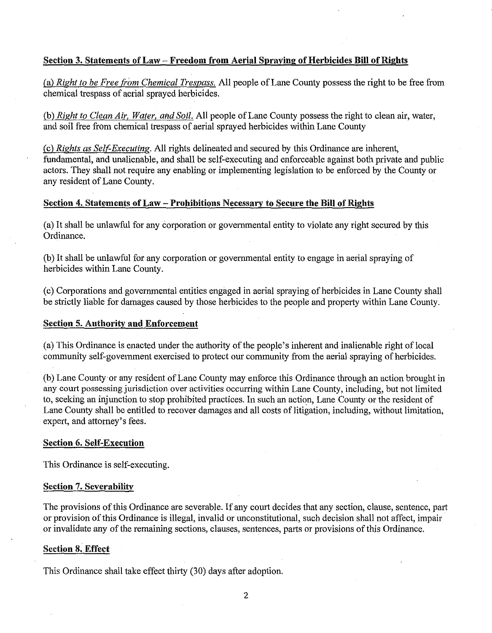# Section 3. Statements of Law -Freedom from Aerial Spraying of Herbicides Bill of Rights

(a) *Right to be Free from Chemical Trespass.* All people of Lane County possess the right to be free from chemical trespass of aerial sprayed herbicides.

(b) *Right to Clean Air, Water, and Soil.* All people of Lane County possess the right to clean air, water, and soil free from chemical trespass of aerial sprayed herbicides within Lane County

(c) *Rights as Self.Executing.* All rights delineated and secured by this Ordinance are inherent, fundamental, and unalienable, and shall be self-executing and enforceable against both private and public actors. They shall not require any enabling or implementing legislation to be enforced by the County or any resident of Lane County.

## Section 4. Statements of Law - Prohibitions Necessary to Secure the Bili of Rights

(a) It shall be unlawful for any corporation or governmental entity to violate any right secured by this Ordinance.

(b) It shall be unlawful for any corporation or governmental entity to engage in aerial spraying of herbicides within Lane County.

( c) Corporations and governmental entities engaged in aerial spraying of herbicides in Lane County shall be strictly liable for damages caused by those herbicides to the people and property within Lane County.

### Section 5. Authority and Enforcement

(a) This Ordinance is enacted under the authority of the people's inherent and inalienable right of local community self-government exercised to protect our community from the aerial spraying of herbicides.

(b) Lane County·or any resident of Lane County may enforce this Ordinance through an action brought in any court possessing jurisdiction over activities occurring within Lane County, including, but not limited to, seeking an injunction to stop prohibited practices. In such an action, Lane County or the resident of Lane County shall be entitled to recover damages and all costs of litigation, including, without limitation, expert, and attorney's fees.

### Section 6. Self-Execution

This Ordinance is self-executing.

### Section 7. Severability

The provisions of this Ordinance are severable. If any court decides that any section, clause, sentence, part or provision of this Ordinance is illegal, invalid or unconstitutional, such decision shall not affect, impair or invalidate any of the remaining sections, clauses, sentences, parts or provisions of this Ordinance.

## Section 8. Effect

This Ordinance shall take effect thirty (30) days after adoption.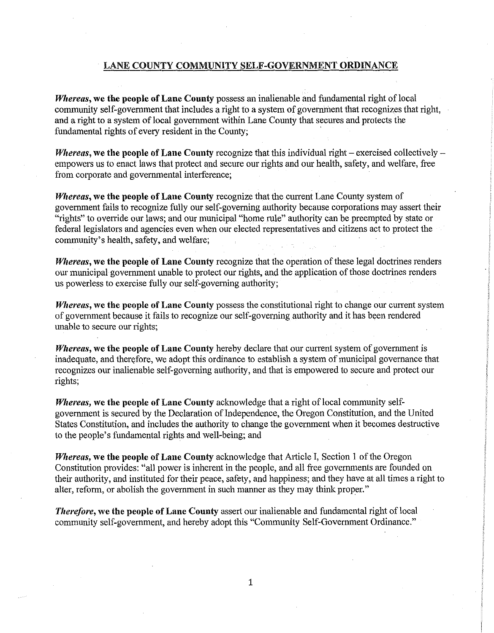### LANE COUNTY COMMUNITY SELF-GOVERNMENT ORDINANCE

*Whereas, we the people of Lane County possess an inalienable and fundamental right of local* community self-government that includes a right to a system of government that recognizes that right, and a right to a system of local government within Lane County that secures and protects the fundamental rights of every resident in the County;

*Whereas,* we the people of Lane County recognize that this individual right – exercised collectively – empowers us to enact laws that protect and secure our rights and our health, safety, and welfare, free from corporate and governmental interference;

*Whereas,* we the people of Lane County recognize that the current Lane County system of government fails to recognize fully our self-governing authmity because corporations may assert their "rights" to override our laws; and our municipal "home rule" authority can be preempted by state or federal legislators and agencies even when our elected representatives and citizens act to protect the community's health, safety, and welfare;

*Whereas,* we the people of Lane County recognize that the operation of these legal doctrines renders our municipal government unable to protect our rights, and the application of those doctrines renders us powerless to exercise fully our self-governing authority;

*Whereas, we the people of Lane County possess the constitutional right to change our current system* of government because it fails to recognize our self-governing authority and it has been rendered unable to secure our rights;

*Whereas,* we the people of Lane County hereby declare that our current system of government is inadequate, and therefore, we adopt this ordinance to establish a system of municipal governance that recognizes our inalienable self-governing authority, and that is empowered to secure and protect our rights;

*Whereas,* we the people of Lane County acknowledge that a right of local community selfgovernment is secured by the Declaration of Independence, the Oregon Constitution, and the United States Constitution, and includes the authority to change the government when it becomes destructive to the people's fundamental rights and well-being; and

*Whereas,* we the people of Lane County acknowledge that Article I, Section 1 of the Oregon Constitution provides: "all power is inherent in the people, and all free governments are founded on their authority, and instituted for their peace, safety, and happiness; and they have at all times a right to alter, reform, or abolish the government in such manner as they may think proper."

*Therefore,* we the people of Lane County assert our inalienable and fundamental right of local community self-government, and hereby adopt this "Community Self-Government Ordinance."

1